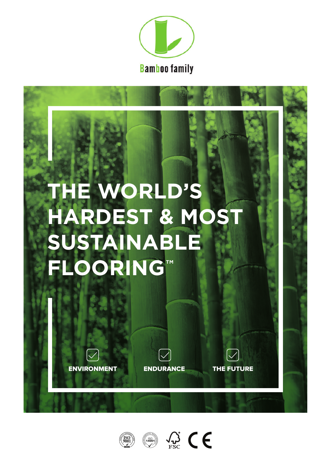

# **THE WORLD'S HARDEST & MOST SUSTAINABLE FLOORING™**





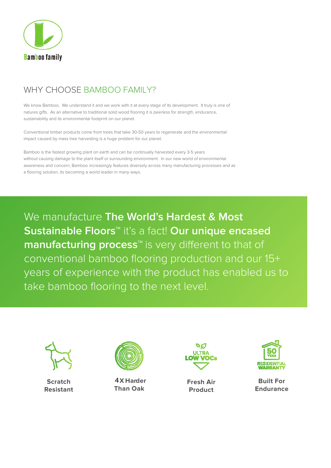

# WHY CHOOSE BAMBOO FAMILY?

We know Bamboo. We understand it and we work with it at every stage of its development. It truly is one of natures gifts. As an alternative to traditional solid wood flooring it is peerless for strength, endurance, sustainability and its environmental footprint on our planet.

Conventional timber products come from trees that take 30-50 years to regenerate and the environmental impact caused by mass tree harvesting is a huge problem for our planet.

Bamboo is the fastest growing plant on earth and can be continually harvested every 3-5 years without causing damage to the plant itself or surrounding environment. In our new world of environmental awareness and concern, Bamboo increasingly features diversely across many manufacturing processes and as a flooring solution, its becoming a world leader in many ways.

We manufacture **The World's Hardest & Most Sustainable Floors™** it's a fact! **Our unique encased manufacturing process<sup>™</sup> is very different to that of** conventional bamboo flooring production and our 15+ years of experience with the product has enabled us to take bamboo flooring to the next level.



**Scratch Resistant**



4**X Harder Than Oak**



**Fresh Air Product**



**Built For Endurance**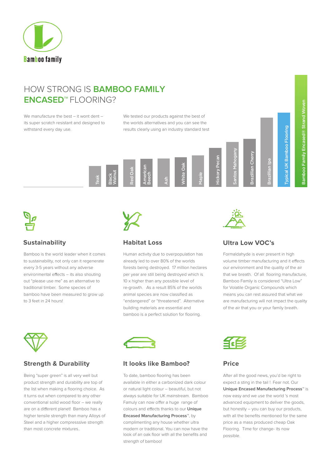

## HOW STRONG IS **BAMBOO FAMILY ENCASED™** FLOORING?

We manufacture the best – it wont dent – its super scratch resistant and designed to withstand every day use.

We tested our products against the best of the worlds alternatives and you can see the results clearly using an industry standard test





Bamboo is the world leader when it comes to sustainability, not only can it regenerate every 3-5 years without any adverse environmental effects  $-$  its also shouting out "please use me" as an alternative to traditional timber. Some species of bamboo have been measured to grow up to 3 feet in 24 hours!



Human activity due to overpopulation has already led to over 80% of the worlds forests being destroyed. 17 million hectares per year are still being destroyed which is 10 x higher than any possible level of re-growth. As a result 85% of the worlds animal species are now classified as "endangered" or "threatened". Alternative building materials are essential and bamboo is a perfect solution for flooring.



### **Sustainability Habitat Loss Ultra Low VOC's**

Formaldahyde is ever present in high volume timber manufacturing and it effects our environment and the quality of the air that we breath. Of all flooring manufacture, Bamboo Family is considered "Ultra Low" for Volatile Organic Compounds which means you can rest assured that what we are manufacturing will not impact the quality of the air that you or your family breath.



Being "super green" is all very well but product strength and durability are top of the list when making a flooring choice. As it turns out when compared to any other conventional solid wood floor – we really are on a different planet! Bamboo has a higher tensile strength than many Alloys of Steel and a higher compresssive strength than most concrete mixtures..



### **Strength & Durability It looks like Bamboo? Price**

To date, bamboo flooring has been available in either a carbonized dark colour or natural light colour – beautiful, but not always suitable for UK mainstream. Bamboo Famuly can now offer a huge range of colours and effects thanks to our **Unique Encased Manufacturing Process™**, by complimenting any house whether ultra modern or traditional. You can now have the look of an oak floor with all the benefits and strength of bamboo!



After all the good news, you'd be right to expect a sting in the tail ! Fear not. Our **Unique Encased Manufacturing Process™** is now easy and we use the world 's most advanced equipment to deliver the goods, but honestly – you can buy our products, with all the benefits mentioned for the same price as a mass produced cheap Oak Flooring. Time for change- its now possible.